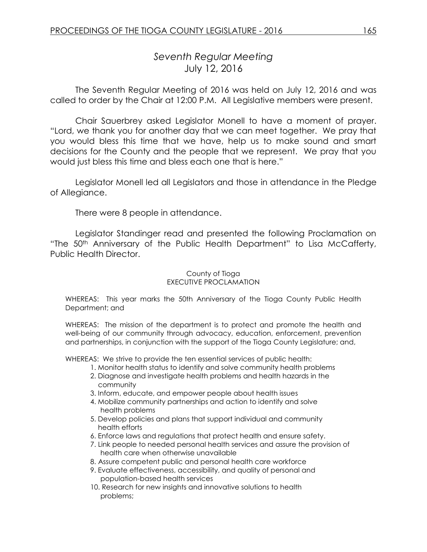# *Seventh Regular Meeting* July 12, 2016

The Seventh Regular Meeting of 2016 was held on July 12, 2016 and was called to order by the Chair at 12:00 P.M. All Legislative members were present.

Chair Sauerbrey asked Legislator Monell to have a moment of prayer. "Lord, we thank you for another day that we can meet together. We pray that you would bless this time that we have, help us to make sound and smart decisions for the County and the people that we represent. We pray that you would just bless this time and bless each one that is here."

Legislator Monell led all Legislators and those in attendance in the Pledge of Allegiance.

There were 8 people in attendance.

Legislator Standinger read and presented the following Proclamation on "The 50th Anniversary of the Public Health Department" to Lisa McCafferty, Public Health Director.

#### County of Tioga EXECUTIVE PROCLAMATION

WHEREAS: This year marks the 50th Anniversary of the Tioga County Public Health Department; and

WHEREAS: The mission of the department is to protect and promote the health and well-being of our community through advocacy, education, enforcement, prevention and partnerships, in conjunction with the support of the Tioga County Legislature; and,

WHEREAS: We strive to provide the ten essential services of public health:

- 1. Monitor health status to identify and solve community health problems
- 2. Diagnose and investigate health problems and health hazards in the community
- 3. Inform, educate, and empower people about health issues
- 4. Mobilize community partnerships and action to identify and solve health problems
- 5. Develop policies and plans that support individual and community health efforts
- 6. Enforce laws and regulations that protect health and ensure safety.
- 7. Link people to needed personal health services and assure the provision of health care when otherwise unavailable
- 8. Assure competent public and personal health care workforce
- 9. Evaluate effectiveness, accessibility, and quality of personal and population-based health services
- 10. Research for new insights and innovative solutions to health problems;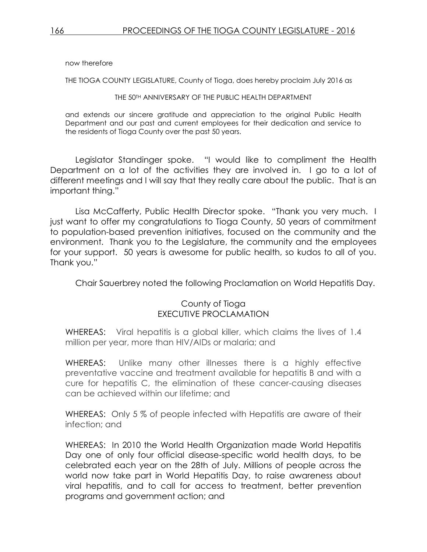now therefore

THE TIOGA COUNTY LEGISLATURE, County of Tioga, does hereby proclaim July 2016 as

THE 50TH ANNIVERSARY OF THE PUBLIC HEALTH DEPARTMENT

and extends our sincere gratitude and appreciation to the original Public Health Department and our past and current employees for their dedication and service to the residents of Tioga County over the past 50 years.

Legislator Standinger spoke. "I would like to compliment the Health Department on a lot of the activities they are involved in. I go to a lot of different meetings and I will say that they really care about the public. That is an important thing."

Lisa McCafferty, Public Health Director spoke. "Thank you very much. I just want to offer my congratulations to Tioga County, 50 years of commitment to population-based prevention initiatives, focused on the community and the environment. Thank you to the Legislature, the community and the employees for your support. 50 years is awesome for public health, so kudos to all of you. Thank you."

Chair Sauerbrey noted the following Proclamation on World Hepatitis Day.

### County of Tioga EXECUTIVE PROCLAMATION

WHEREAS: Viral hepatitis is a global killer, which claims the lives of 1.4 million per year, more than HIV/AIDs or malaria; and

WHEREAS: Unlike many other illnesses there is a highly effective preventative vaccine and treatment available for hepatitis B and with a cure for hepatitis C, the elimination of these cancer-causing diseases can be achieved within our lifetime; and

WHEREAS: Only 5 % of people infected with Hepatitis are aware of their infection; and

WHEREAS: In 2010 the World Health Organization made World Hepatitis Day one of only four official disease-specific world health days, to be celebrated each year on the 28th of July. Millions of people across the world now take part in World Hepatitis Day, to raise awareness about viral hepatitis, and to call for access to treatment, better prevention programs and government action; and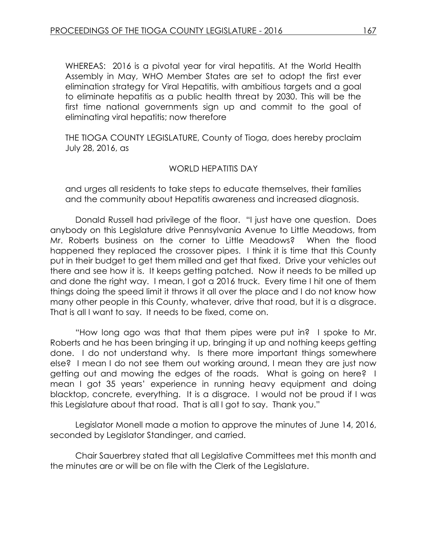WHEREAS: 2016 is a pivotal year for viral hepatitis. At the World Health Assembly in May, WHO Member States are set to adopt the first ever elimination strategy for Viral Hepatitis, with ambitious targets and a goal to eliminate hepatitis as a public health threat by 2030. This will be the first time national governments sign up and commit to the goal of eliminating viral hepatitis; now therefore

THE TIOGA COUNTY LEGISLATURE, County of Tioga, does hereby proclaim July 28, 2016, as

#### WORLD HEPATITIS DAY

and urges all residents to take steps to educate themselves, their families and the community about Hepatitis awareness and increased diagnosis.

Donald Russell had privilege of the floor. "I just have one question. Does anybody on this Legislature drive Pennsylvania Avenue to Little Meadows, from Mr. Roberts business on the corner to Little Meadows? When the flood happened they replaced the crossover pipes. I think it is time that this County put in their budget to get them milled and get that fixed. Drive your vehicles out there and see how it is. It keeps getting patched. Now it needs to be milled up and done the right way. I mean, I got a 2016 truck. Every time I hit one of them things doing the speed limit it throws it all over the place and I do not know how many other people in this County, whatever, drive that road, but it is a disgrace. That is all I want to say. It needs to be fixed, come on.

"How long ago was that that them pipes were put in? I spoke to Mr. Roberts and he has been bringing it up, bringing it up and nothing keeps getting done. I do not understand why. Is there more important things somewhere else? I mean I do not see them out working around, I mean they are just now getting out and mowing the edges of the roads. What is going on here? I mean I got 35 years' experience in running heavy equipment and doing blacktop, concrete, everything. It is a disgrace. I would not be proud if I was this Legislature about that road. That is all I got to say. Thank you."

Legislator Monell made a motion to approve the minutes of June 14, 2016, seconded by Legislator Standinger, and carried.

Chair Sauerbrey stated that all Legislative Committees met this month and the minutes are or will be on file with the Clerk of the Legislature.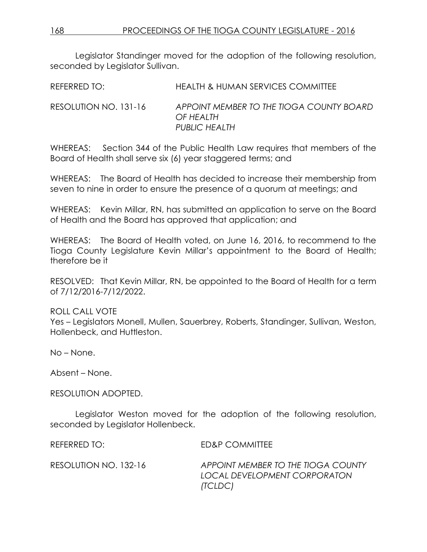Legislator Standinger moved for the adoption of the following resolution, seconded by Legislator Sullivan.

REFERRED TO: HEALTH & HUMAN SERVICES COMMITTEE

RESOLUTION NO. 131-16 *APPOINT MEMBER TO THE TIOGA COUNTY BOARD OF HEALTH PUBLIC HEALTH*

WHEREAS: Section 344 of the Public Health Law requires that members of the Board of Health shall serve six (6) year staggered terms; and

WHEREAS: The Board of Health has decided to increase their membership from seven to nine in order to ensure the presence of a quorum at meetings; and

WHEREAS: Kevin Millar, RN, has submitted an application to serve on the Board of Health and the Board has approved that application; and

WHEREAS: The Board of Health voted, on June 16, 2016, to recommend to the Tioga County Legislature Kevin Millar's appointment to the Board of Health; therefore be it

RESOLVED: That Kevin Millar, RN, be appointed to the Board of Health for a term of 7/12/2016-7/12/2022.

### ROLL CALL VOTE

Yes – Legislators Monell, Mullen, Sauerbrey, Roberts, Standinger, Sullivan, Weston, Hollenbeck, and Huttleston.

No – None.

Absent – None.

RESOLUTION ADOPTED.

Legislator Weston moved for the adoption of the following resolution, seconded by Legislator Hollenbeck.

REFERRED TO: ED&P COMMITTEE

RESOLUTION NO. 132-16 *APPOINT MEMBER TO THE TIOGA COUNTY LOCAL DEVELOPMENT CORPORATON (TCLDC)*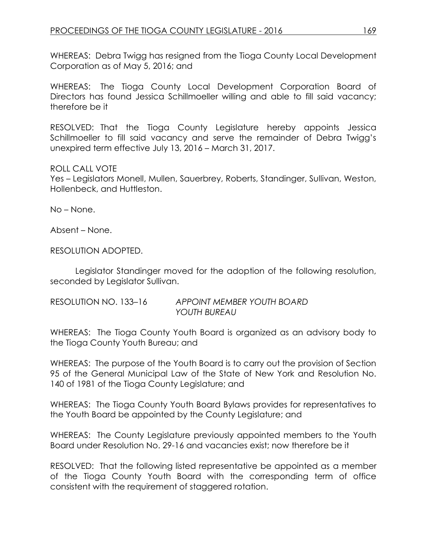WHEREAS: Debra Twigg has resigned from the Tioga County Local Development Corporation as of May 5, 2016; and

WHEREAS: The Tioga County Local Development Corporation Board of Directors has found Jessica Schillmoeller willing and able to fill said vacancy; therefore be it

RESOLVED: That the Tioga County Legislature hereby appoints Jessica Schillmoeller to fill said vacancy and serve the remainder of Debra Twigg's unexpired term effective July 13, 2016 – March 31, 2017.

### ROLL CALL VOTE

Yes – Legislators Monell, Mullen, Sauerbrey, Roberts, Standinger, Sullivan, Weston, Hollenbeck, and Huttleston.

No – None.

Absent – None.

RESOLUTION ADOPTED.

Legislator Standinger moved for the adoption of the following resolution, seconded by Legislator Sullivan.

| RESOLUTION NO. 133-16 | APPOINT MEMBER YOUTH BOARD |
|-----------------------|----------------------------|
|                       | YOUTH BUREAU               |

WHEREAS: The Tioga County Youth Board is organized as an advisory body to the Tioga County Youth Bureau; and

WHEREAS: The purpose of the Youth Board is to carry out the provision of Section 95 of the General Municipal Law of the State of New York and Resolution No. 140 of 1981 of the Tioga County Legislature; and

WHEREAS: The Tioga County Youth Board Bylaws provides for representatives to the Youth Board be appointed by the County Legislature; and

WHEREAS: The County Legislature previously appointed members to the Youth Board under Resolution No. 29-16 and vacancies exist; now therefore be it

RESOLVED: That the following listed representative be appointed as a member of the Tioga County Youth Board with the corresponding term of office consistent with the requirement of staggered rotation.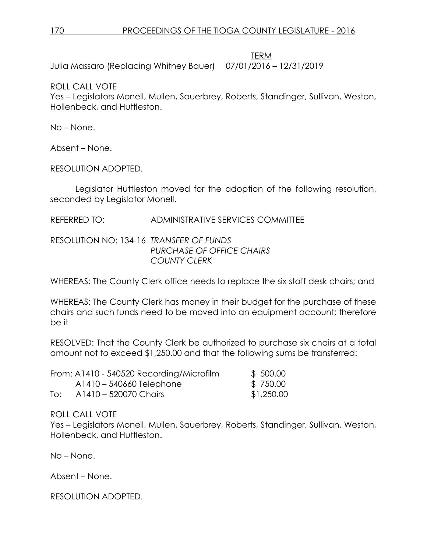TERM

Julia Massaro (Replacing Whitney Bauer) 07/01/2016 – 12/31/2019

ROLL CALL VOTE

Yes – Legislators Monell, Mullen, Sauerbrey, Roberts, Standinger, Sullivan, Weston, Hollenbeck, and Huttleston.

No – None.

Absent – None.

RESOLUTION ADOPTED.

Legislator Huttleston moved for the adoption of the following resolution, seconded by Legislator Monell.

REFERRED TO: ADMINISTRATIVE SERVICES COMMITTEE

RESOLUTION NO: 134-16 *TRANSFER OF FUNDS PURCHASE OF OFFICE CHAIRS COUNTY CLERK*

WHEREAS: The County Clerk office needs to replace the six staff desk chairs; and

WHEREAS: The County Clerk has money in their budget for the purchase of these chairs and such funds need to be moved into an equipment account; therefore be it

RESOLVED: That the County Clerk be authorized to purchase six chairs at a total amount not to exceed \$1,250.00 and that the following sums be transferred:

|     | From: A1410 - 540520 Recording/Microfilm | \$ 500.00  |
|-----|------------------------------------------|------------|
|     | A1410 – 540660 Telephone                 | \$750.00   |
| To: | A1410 - 520070 Chairs                    | \$1,250.00 |

ROLL CALL VOTE

Yes – Legislators Monell, Mullen, Sauerbrey, Roberts, Standinger, Sullivan, Weston, Hollenbeck, and Huttleston.

No – None.

Absent – None.

RESOLUTION ADOPTED.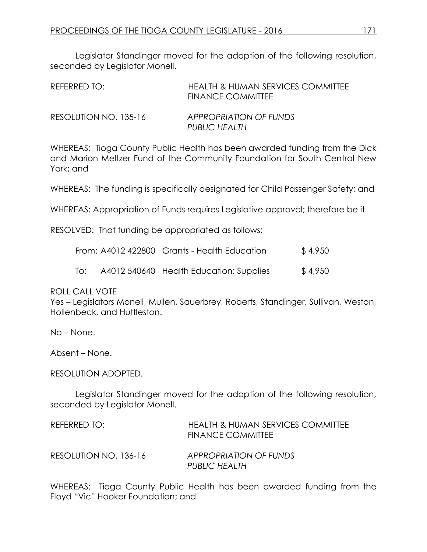Legislator Standinger moved for the adoption of the following resolution, seconded by Legislator Monell.

| REFERRED TO:          | HEALTH & HUMAN SERVICES COMMITTEE<br>FINANCE COMMITTEE |
|-----------------------|--------------------------------------------------------|
| RESOLUTION NO. 135-16 | <b>APPROPRIATION OF FUNDS</b><br><b>PUBLIC HEALTH</b>  |

WHEREAS: Tioga County Public Health has been awarded funding from the Dick and Marion Meltzer Fund of the Community Foundation for South Central New York; and

WHEREAS: The funding is specifically designated for Child Passenger Safety; and

WHEREAS: Appropriation of Funds requires Legislative approval; therefore be it

RESOLVED: That funding be appropriated as follows:

|     | From: A4012 422800 Grants - Health Education | \$4,950 |
|-----|----------------------------------------------|---------|
| To: | A4012 540640 Health Education: Supplies      | \$4,950 |

ROLL CALL VOTE

Yes – Legislators Monell, Mullen, Sauerbrey, Roberts, Standinger, Sullivan, Weston, Hollenbeck, and Huttleston.

No – None.

Absent – None.

RESOLUTION ADOPTED.

Legislator Standinger moved for the adoption of the following resolution, seconded by Legislator Monell.

| REFERRED TO:          | <b>HEALTH &amp; HUMAN SERVICES COMMITTEE</b><br><b>FINANCE COMMITTEE</b> |
|-----------------------|--------------------------------------------------------------------------|
| RESOLUTION NO. 136-16 | APPROPRIATION OF FUNDS<br><b>PUBLIC HEALTH</b>                           |

WHEREAS: Tioga County Public Health has been awarded funding from the Floyd "Vic" Hooker Foundation; and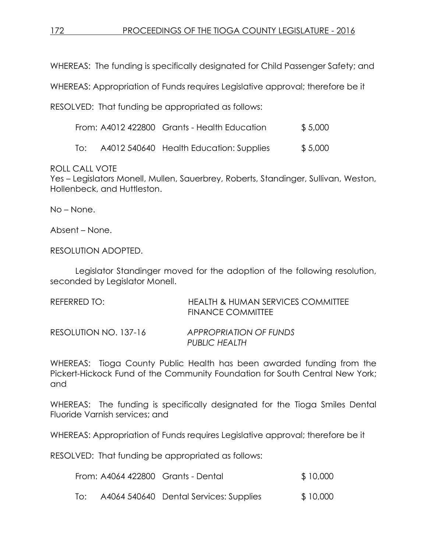WHEREAS: The funding is specifically designated for Child Passenger Safety; and

WHEREAS: Appropriation of Funds requires Legislative approval; therefore be it

RESOLVED: That funding be appropriated as follows:

| From: A4012 422800 Grants - Health Education | \$5,000 |
|----------------------------------------------|---------|
|                                              |         |

To: A4012 540640 Health Education: Supplies \$ 5,000

ROLL CALL VOTE

Yes – Legislators Monell, Mullen, Sauerbrey, Roberts, Standinger, Sullivan, Weston, Hollenbeck, and Huttleston.

No – None.

Absent – None.

RESOLUTION ADOPTED.

Legislator Standinger moved for the adoption of the following resolution, seconded by Legislator Monell.

| REFERRED TO:          | HEALTH & HUMAN SERVICES COMMITTEE<br><b>FINANCE COMMITTEE</b> |
|-----------------------|---------------------------------------------------------------|
| RESOLUTION NO. 137-16 | APPROPRIATION OF FUNDS<br><b>PUBLIC HEALTH</b>                |

WHEREAS: Tioga County Public Health has been awarded funding from the Pickert-Hickock Fund of the Community Foundation for South Central New York; and

WHEREAS: The funding is specifically designated for the Tioga Smiles Dental Fluoride Varnish services; and

WHEREAS: Appropriation of Funds requires Legislative approval; therefore be it

RESOLVED: That funding be appropriated as follows:

| \$10,000<br>From: A4064 422800 Grants - Dental |  |
|------------------------------------------------|--|
|------------------------------------------------|--|

| To: |  | A4064 540640 Dental Services: Supplies | \$10,000 |
|-----|--|----------------------------------------|----------|
|-----|--|----------------------------------------|----------|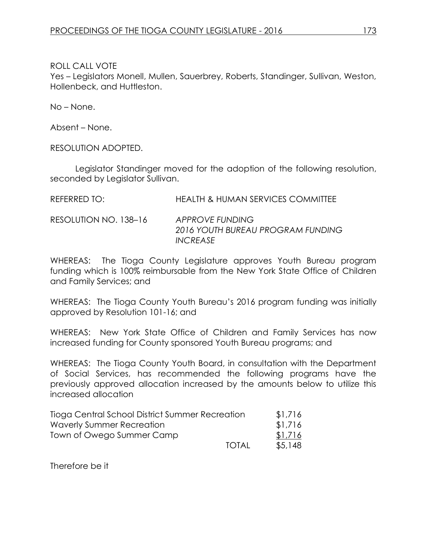Yes – Legislators Monell, Mullen, Sauerbrey, Roberts, Standinger, Sullivan, Weston, Hollenbeck, and Huttleston.

No – None.

Absent – None.

RESOLUTION ADOPTED.

Legislator Standinger moved for the adoption of the following resolution, seconded by Legislator Sullivan.

| REFERRED TO: | <b>HEALTH &amp; HUMAN SERVICES COMMITTEE</b> |
|--------------|----------------------------------------------|
|              |                                              |

RESOLUTION NO. 138–16 *APPROVE FUNDING 2016 YOUTH BUREAU PROGRAM FUNDING INCREASE*

WHEREAS: The Tioga County Legislature approves Youth Bureau program funding which is 100% reimbursable from the New York State Office of Children and Family Services; and

WHEREAS: The Tioga County Youth Bureau's 2016 program funding was initially approved by Resolution 101-16; and

WHEREAS: New York State Office of Children and Family Services has now increased funding for County sponsored Youth Bureau programs; and

WHEREAS: The Tioga County Youth Board, in consultation with the Department of Social Services, has recommended the following programs have the previously approved allocation increased by the amounts below to utilize this increased allocation

| Tioga Central School District Summer Recreation |              | \$1,716 |
|-------------------------------------------------|--------------|---------|
| Waverly Summer Recreation                       |              | \$1,716 |
| Town of Owego Summer Camp                       |              | \$1,716 |
|                                                 | <b>TOTAL</b> | \$5.148 |

Therefore be it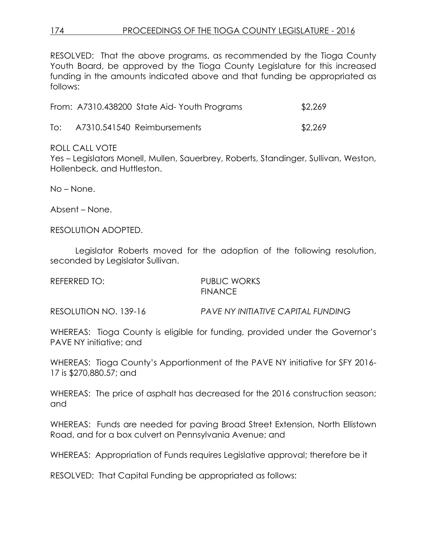RESOLVED: That the above programs, as recommended by the Tioga County Youth Board, be approved by the Tioga County Legislature for this increased funding in the amounts indicated above and that funding be appropriated as follows:

|     | From: A7310.438200 State Aid-Youth Programs | \$2,269 |
|-----|---------------------------------------------|---------|
| To: | A7310.541540 Reimbursements                 | \$2,269 |

ROLL CALL VOTE

Yes – Legislators Monell, Mullen, Sauerbrey, Roberts, Standinger, Sullivan, Weston, Hollenbeck, and Huttleston.

No – None.

Absent – None.

RESOLUTION ADOPTED.

Legislator Roberts moved for the adoption of the following resolution, seconded by Legislator Sullivan.

| REFERRED TO: | <b>PUBLIC WORKS</b> |
|--------------|---------------------|
|              | <b>FINANCE</b>      |

RESOLUTION NO. 139-16 *PAVE NY INITIATIVE CAPITAL FUNDING* 

WHEREAS: Tioga County is eligible for funding, provided under the Governor's PAVE NY initiative; and

WHEREAS: Tioga County's Apportionment of the PAVE NY initiative for SFY 2016- 17 is \$270,880.57; and

WHEREAS: The price of asphalt has decreased for the 2016 construction season; and

WHEREAS: Funds are needed for paving Broad Street Extension, North Ellistown Road, and for a box culvert on Pennsylvania Avenue; and

WHEREAS: Appropriation of Funds requires Legislative approval; therefore be it

RESOLVED: That Capital Funding be appropriated as follows: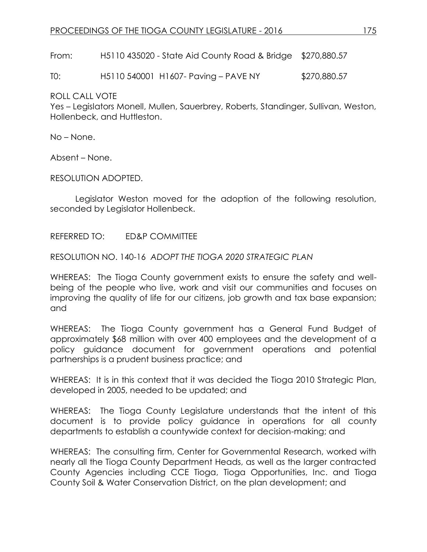From: H5110 435020 - State Aid County Road & Bridge \$270,880.57

T0: H5110 540001 H1607- Paving – PAVE NY \$270,880.57

ROLL CALL VOTE

Yes – Legislators Monell, Mullen, Sauerbrey, Roberts, Standinger, Sullivan, Weston, Hollenbeck, and Huttleston.

No – None.

Absent – None.

RESOLUTION ADOPTED.

Legislator Weston moved for the adoption of the following resolution, seconded by Legislator Hollenbeck.

REFERRED TO: ED&P COMMITTEE

RESOLUTION NO. 140-16 *ADOPT THE TIOGA 2020 STRATEGIC PLAN*

WHEREAS: The Tioga County government exists to ensure the safety and wellbeing of the people who live, work and visit our communities and focuses on improving the quality of life for our citizens, job growth and tax base expansion; and

WHEREAS: The Tioga County government has a General Fund Budget of approximately \$68 million with over 400 employees and the development of a policy guidance document for government operations and potential partnerships is a prudent business practice; and

WHEREAS: It is in this context that it was decided the Tioga 2010 Strategic Plan, developed in 2005, needed to be updated; and

WHEREAS: The Tioga County Legislature understands that the intent of this document is to provide policy guidance in operations for all county departments to establish a countywide context for decision-making; and

WHEREAS: The consulting firm, Center for Governmental Research, worked with nearly all the Tioga County Department Heads, as well as the larger contracted County Agencies including CCE Tioga, Tioga Opportunities, Inc. and Tioga County Soil & Water Conservation District, on the plan development; and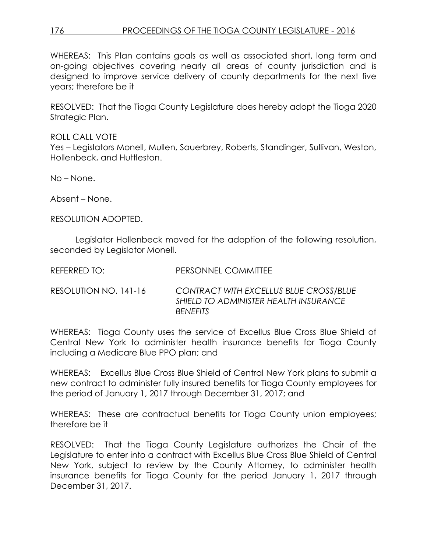WHEREAS: This Plan contains goals as well as associated short, long term and on-going objectives covering nearly all areas of county jurisdiction and is designed to improve service delivery of county departments for the next five years; therefore be it

RESOLVED: That the Tioga County Legislature does hereby adopt the Tioga 2020 Strategic Plan.

ROLL CALL VOTE Yes – Legislators Monell, Mullen, Sauerbrey, Roberts, Standinger, Sullivan, Weston, Hollenbeck, and Huttleston.

No – None.

Absent – None.

RESOLUTION ADOPTED.

Legislator Hollenbeck moved for the adoption of the following resolution, seconded by Legislator Monell.

| REFERRED TO: I        | PERSONNEL COMMITTEE                                                                                       |
|-----------------------|-----------------------------------------------------------------------------------------------------------|
| RESOLUTION NO. 141-16 | <b>CONTRACT WITH EXCELLUS BLUE CROSS/BLUE</b><br>SHIELD TO ADMINISTER HEALTH INSURANCE<br><b>BENEFITS</b> |

WHEREAS: Tioga County uses the service of Excellus Blue Cross Blue Shield of Central New York to administer health insurance benefits for Tioga County including a Medicare Blue PPO plan; and

WHEREAS: Excellus Blue Cross Blue Shield of Central New York plans to submit a new contract to administer fully insured benefits for Tioga County employees for the period of January 1, 2017 through December 31, 2017; and

WHEREAS: These are contractual benefits for Tioga County union employees; therefore be it

RESOLVED: That the Tioga County Legislature authorizes the Chair of the Legislature to enter into a contract with Excellus Blue Cross Blue Shield of Central New York, subject to review by the County Attorney, to administer health insurance benefits for Tioga County for the period January 1, 2017 through December 31, 2017.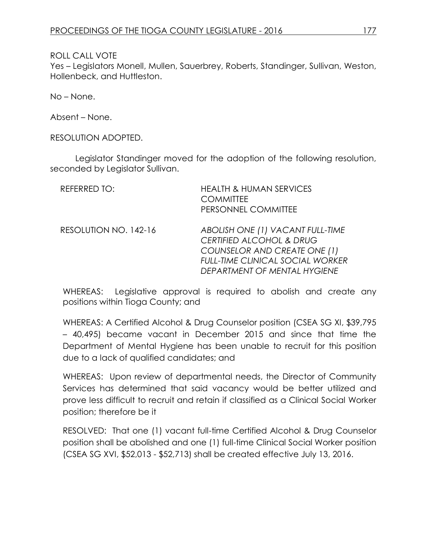Yes – Legislators Monell, Mullen, Sauerbrey, Roberts, Standinger, Sullivan, Weston, Hollenbeck, and Huttleston.

No – None.

Absent – None.

RESOLUTION ADOPTED.

Legislator Standinger moved for the adoption of the following resolution, seconded by Legislator Sullivan.

| REFERRED TO:          | <b>HEALTH &amp; HUMAN SERVICES</b><br><b>COMMITTEE</b><br>PERSONNEL COMMITTEE                                                                                                      |
|-----------------------|------------------------------------------------------------------------------------------------------------------------------------------------------------------------------------|
| RESOLUTION NO. 142-16 | ABOLISH ONE (1) VACANT FULL-TIME<br><b>CERTIFIED ALCOHOL &amp; DRUG</b><br>COUNSELOR AND CREATE ONE (1)<br><b>FULL-TIME CLINICAL SOCIAL WORKER</b><br>DEPARTMENT OF MENTAL HYGIENE |

WHEREAS: Legislative approval is required to abolish and create any positions within Tioga County; and

WHEREAS: A Certified Alcohol & Drug Counselor position (CSEA SG XI, \$39,795 – 40,495) became vacant in December 2015 and since that time the Department of Mental Hygiene has been unable to recruit for this position due to a lack of qualified candidates; and

WHEREAS: Upon review of departmental needs, the Director of Community Services has determined that said vacancy would be better utilized and prove less difficult to recruit and retain if classified as a Clinical Social Worker position; therefore be it

RESOLVED: That one (1) vacant full-time Certified Alcohol & Drug Counselor position shall be abolished and one (1) full-time Clinical Social Worker position (CSEA SG XVI, \$52,013 - \$52,713) shall be created effective July 13, 2016.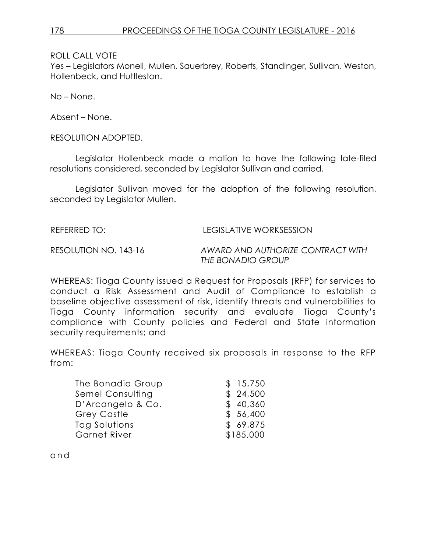Yes – Legislators Monell, Mullen, Sauerbrey, Roberts, Standinger, Sullivan, Weston, Hollenbeck, and Huttleston.

No – None.

Absent – None.

RESOLUTION ADOPTED.

Legislator Hollenbeck made a motion to have the following late-filed resolutions considered, seconded by Legislator Sullivan and carried.

Legislator Sullivan moved for the adoption of the following resolution, seconded by Legislator Mullen.

REFERRED TO: LEGISLATIVE WORKSESSION

RESOLUTION NO. 143-16 *AWARD AND AUTHORIZE CONTRACT WITH THE BONADIO GROUP*

WHEREAS: Tioga County issued a Request for Proposals (RFP) for services to conduct a Risk Assessment and Audit of Compliance to establish a baseline objective assessment of risk, identify threats and vulnerabilities to Tioga County information security and evaluate Tioga County's compliance with County policies and Federal and State information security requirements; and

WHEREAS: Tioga County received six proposals in response to the RFP from:

| The Bonadio Group  | \$15,750  |
|--------------------|-----------|
| Semel Consulting   | \$24,500  |
| D'Arcangelo & Co.  | \$40,360  |
| <b>Grey Castle</b> | \$56,400  |
| Tag Solutions      | \$69,875  |
| Garnet River       | \$185,000 |

a n d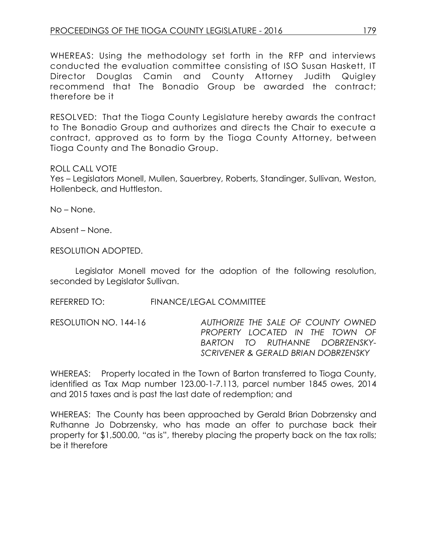WHEREAS: Using the methodology set forth in the RFP and interviews conducted the evaluation committee consisting of ISO Susan Haskett, IT Director Douglas Camin and County Attorney Judith Quigley recommend that The Bonadio Group be awarded the contract; therefore be it

RESOLVED: That the Tioga County Legislature hereby awards the contract to The Bonadio Group and authorizes and directs the Chair to execute a contract, approved as to form by the Tioga County Attorney, between Tioga County and The Bonadio Group.

#### ROLL CALL VOTE

Yes – Legislators Monell, Mullen, Sauerbrey, Roberts, Standinger, Sullivan, Weston, Hollenbeck, and Huttleston.

No – None.

Absent – None.

RESOLUTION ADOPTED.

Legislator Monell moved for the adoption of the following resolution, seconded by Legislator Sullivan.

REFERRED TO: FINANCE/LEGAL COMMITTEE

RESOLUTION NO. 144-16 *AUTHORIZE THE SALE OF COUNTY OWNED PROPERTY LOCATED IN THE TOWN OF BARTON TO RUTHANNE DOBRZENSKY-SCRIVENER & GERALD BRIAN DOBRZENSKY*

WHEREAS: Property located in the Town of Barton transferred to Tioga County, identified as Tax Map number 123.00-1-7.113, parcel number 1845 owes, 2014 and 2015 taxes and is past the last date of redemption; and

WHEREAS: The County has been approached by Gerald Brian Dobrzensky and Ruthanne Jo Dobrzensky, who has made an offer to purchase back their property for \$1,500.00, "as is", thereby placing the property back on the tax rolls; be it therefore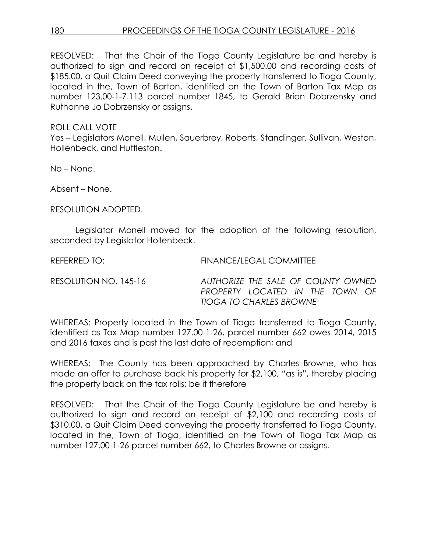RESOLVED: That the Chair of the Tioga County Legislature be and hereby is authorized to sign and record on receipt of \$1,500.00 and recording costs of \$185.00, a Quit Claim Deed conveying the property transferred to Tioga County, located in the, Town of Barton, identified on the Town of Barton Tax Map as number 123.00-1-7.113 parcel number 1845, to Gerald Brian Dobrzensky and Ruthanne Jo Dobrzensky or assigns.

### ROLL CALL VOTE

Yes – Legislators Monell, Mullen, Sauerbrey, Roberts, Standinger, Sullivan, Weston, Hollenbeck, and Huttleston.

No – None.

Absent – None.

RESOLUTION ADOPTED.

Legislator Monell moved for the adoption of the following resolution, seconded by Legislator Hollenbeck.

REFERRED TO: FINANCE/LEGAL COMMITTEE

RESOLUTION NO. 145-16 *AUTHORIZE THE SALE OF COUNTY OWNED PROPERTY LOCATED IN THE TOWN OF TIOGA TO CHARLES BROWNE*

WHEREAS: Property located in the Town of Tioga transferred to Tioga County, identified as Tax Map number 127.00-1-26, parcel number 662 owes 2014, 2015 and 2016 taxes and is past the last date of redemption; and

WHEREAS: The County has been approached by Charles Browne, who has made an offer to purchase back his property for \$2,100, "as is", thereby placing the property back on the tax rolls; be it therefore

RESOLVED: That the Chair of the Tioga County Legislature be and hereby is authorized to sign and record on receipt of \$2,100 and recording costs of \$310.00, a Quit Claim Deed conveying the property transferred to Tioga County, located in the, Town of Tioga, identified on the Town of Tioga Tax Map as number 127.00-1-26 parcel number 662, to Charles Browne or assigns.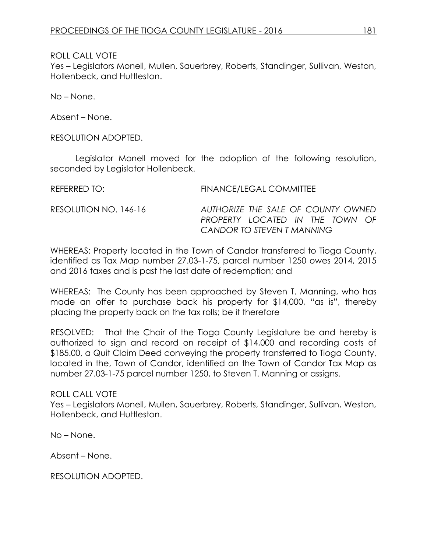Yes – Legislators Monell, Mullen, Sauerbrey, Roberts, Standinger, Sullivan, Weston, Hollenbeck, and Huttleston.

No – None.

Absent – None.

RESOLUTION ADOPTED.

Legislator Monell moved for the adoption of the following resolution, seconded by Legislator Hollenbeck.

REFERRED TO: FINANCE/LEGAL COMMITTEE RESOLUTION NO. 146-16 *AUTHORIZE THE SALE OF COUNTY OWNED PROPERTY LOCATED IN THE TOWN OF CANDOR TO STEVEN T MANNING*

WHEREAS: Property located in the Town of Candor transferred to Tioga County, identified as Tax Map number 27.03-1-75, parcel number 1250 owes 2014, 2015 and 2016 taxes and is past the last date of redemption; and

WHEREAS: The County has been approached by Steven T. Manning, who has made an offer to purchase back his property for \$14,000, "as is", thereby placing the property back on the tax rolls; be it therefore

RESOLVED: That the Chair of the Tioga County Legislature be and hereby is authorized to sign and record on receipt of \$14,000 and recording costs of \$185.00, a Quit Claim Deed conveying the property transferred to Tioga County, located in the, Town of Candor, identified on the Town of Candor Tax Map as number 27.03-1-75 parcel number 1250, to Steven T. Manning or assigns.

ROLL CALL VOTE Yes – Legislators Monell, Mullen, Sauerbrey, Roberts, Standinger, Sullivan, Weston, Hollenbeck, and Huttleston.

No – None.

Absent – None.

RESOLUTION ADOPTED.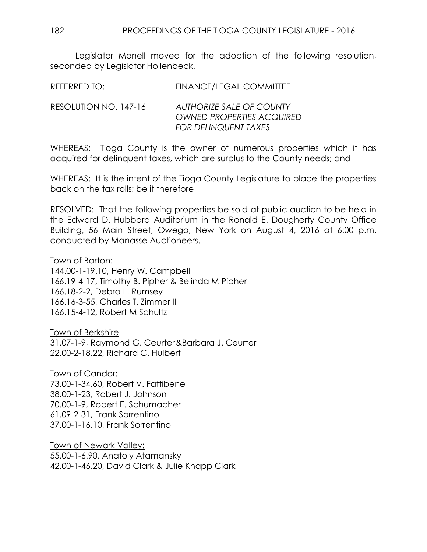Legislator Monell moved for the adoption of the following resolution, seconded by Legislator Hollenbeck.

REFERRED TO: FINANCE/LEGAL COMMITTEE

RESOLUTION NO. 147-16 *AUTHORIZE SALE OF COUNTY OWNED PROPERTIES ACQUIRED FOR DELINQUENT TAXES*

WHEREAS: Tioga County is the owner of numerous properties which it has acquired for delinquent taxes, which are surplus to the County needs; and

WHEREAS: It is the intent of the Tioga County Legislature to place the properties back on the tax rolls; be it therefore

RESOLVED: That the following properties be sold at public auction to be held in the Edward D. Hubbard Auditorium in the Ronald E. Dougherty County Office Building, 56 Main Street, Owego, New York on August 4, 2016 at 6:00 p.m. conducted by Manasse Auctioneers.

Town of Barton:

144.00-1-19.10, Henry W. Campbell 166.19-4-17, Timothy B. Pipher & Belinda M Pipher 166.18-2-2, Debra L. Rumsey 166.16-3-55, Charles T. Zimmer III 166.15-4-12, Robert M Schultz

Town of Berkshire 31.07-1-9, Raymond G. Ceurter&Barbara J. Ceurter 22.00-2-18.22, Richard C. Hulbert

Town of Candor: 73.00-1-34.60, Robert V. Fattibene 38.00-1-23, Robert J. Johnson 70.00-1-9, Robert E. Schumacher 61.09-2-31, Frank Sorrentino 37.00-1-16.10, Frank Sorrentino

Town of Newark Valley: 55.00-1-6.90, Anatoly Atamansky 42.00-1-46.20, David Clark & Julie Knapp Clark